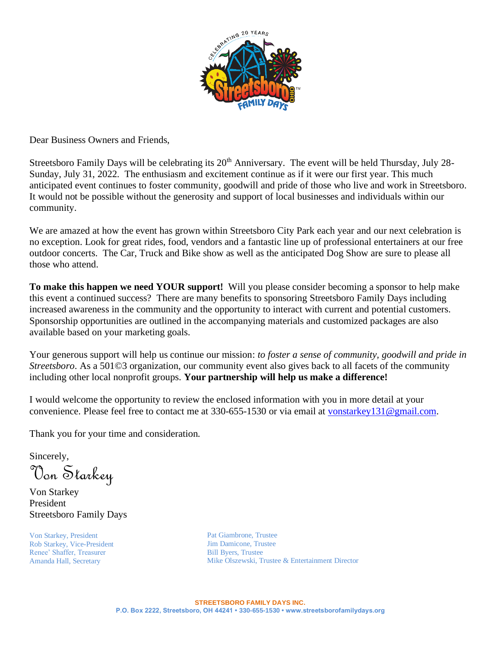

Dear Business Owners and Friends,

Streetsboro Family Days will be celebrating its  $20<sup>th</sup>$  Anniversary. The event will be held Thursday, July 28-Sunday, July 31, 2022. The enthusiasm and excitement continue as if it were our first year. This much anticipated event continues to foster community, goodwill and pride of those who live and work in Streetsboro. It would not be possible without the generosity and support of local businesses and individuals within our community.

We are amazed at how the event has grown within Streetsboro City Park each year and our next celebration is no exception. Look for great rides, food, vendors and a fantastic line up of professional entertainers at our free outdoor concerts. The Car, Truck and Bike show as well as the anticipated Dog Show are sure to please all those who attend.

**To make this happen we need YOUR support!** Will you please consider becoming a sponsor to help make this event a continued success? There are many benefits to sponsoring Streetsboro Family Days including increased awareness in the community and the opportunity to interact with current and potential customers. Sponsorship opportunities are outlined in the accompanying materials and customized packages are also available based on your marketing goals.

Your generous support will help us continue our mission: *to foster a sense of community, goodwill and pride in Streetsboro*. As a 501©3 organization, our community event also gives back to all facets of the community including other local nonprofit groups. **Your partnership will help us make a difference!**

I would welcome the opportunity to review the enclosed information with you in more detail at your convenience. Please feel free to contact me at 330-655-1530 or via email at [vonstarkey131@gmail.com.](mailto:vonstarkey131@gmail.com)

Thank you for your time and consideration.

Sincerely,

Von Starkey

Von Starkey President Streetsboro Family Days

Von Starkey, President Rob Starkey, Vice-President Renee' Shaffer, Treasurer Amanda Hall, Secretary

Pat Giambrone, Trustee Jim Damicone, Trustee Bill Byers, Trustee Mike Olszewski, Trustee & Entertainment Director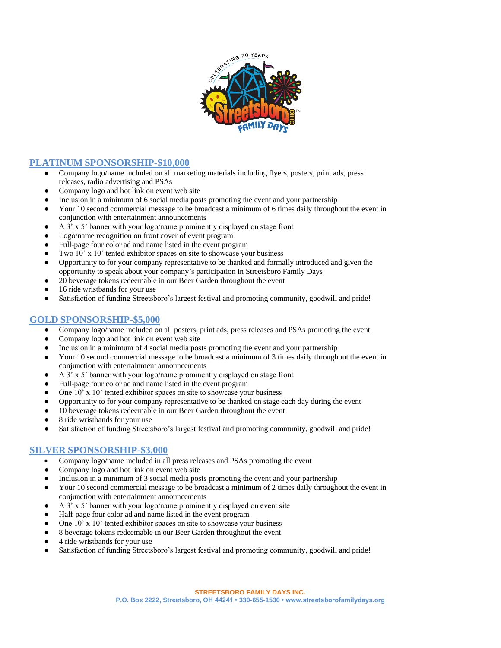

## **PLATINUM SPONSORSHIP-\$10,000**

- Company logo/name included on all marketing materials including flyers, posters, print ads, press releases, radio advertising and PSAs
- Company logo and hot link on event web site
- Inclusion in a minimum of 6 social media posts promoting the event and your partnership
- Your 10 second commercial message to be broadcast a minimum of 6 times daily throughout the event in conjunction with entertainment announcements
- A  $3'$  x  $5'$  banner with your logo/name prominently displayed on stage front
- Logo/name recognition on front cover of event program
- Full-page four color ad and name listed in the event program
- Two 10' x 10' tented exhibitor spaces on site to showcase your business
- Opportunity to for your company representative to be thanked and formally introduced and given the opportunity to speak about your company's participation in Streetsboro Family Days
- 20 beverage tokens redeemable in our Beer Garden throughout the event
- 16 ride wristbands for your use
- Satisfaction of funding Streetsboro's largest festival and promoting community, goodwill and pride!

# **GOLD SPONSORSHIP-\$5,000**

- Company logo/name included on all posters, print ads, press releases and PSAs promoting the event
- Company logo and hot link on event web site
- Inclusion in a minimum of 4 social media posts promoting the event and your partnership
- Your 10 second commercial message to be broadcast a minimum of 3 times daily throughout the event in conjunction with entertainment announcements
- A  $3'$  x  $5'$  banner with your logo/name prominently displayed on stage front
- Full-page four color ad and name listed in the event program
- One  $10'$  x  $10'$  tented exhibitor spaces on site to showcase your business
- Opportunity to for your company representative to be thanked on stage each day during the event
- 10 beverage tokens redeemable in our Beer Garden throughout the event
- 8 ride wristbands for your use
- Satisfaction of funding Streetsboro's largest festival and promoting community, goodwill and pride!

### **SILVER SPONSORSHIP-\$3,000**

- Company logo/name included in all press releases and PSAs promoting the event
- Company logo and hot link on event web site
- Inclusion in a minimum of 3 social media posts promoting the event and your partnership
- Your 10 second commercial message to be broadcast a minimum of 2 times daily throughout the event in conjunction with entertainment announcements
- A  $3'$  x  $5'$  banner with your logo/name prominently displayed on event site
- Half-page four color ad and name listed in the event program
- One  $10'$  x  $10'$  tented exhibitor spaces on site to showcase your business
- 8 beverage tokens redeemable in our Beer Garden throughout the event
- 4 ride wristbands for your use
- Satisfaction of funding Streetsboro's largest festival and promoting community, goodwill and pride!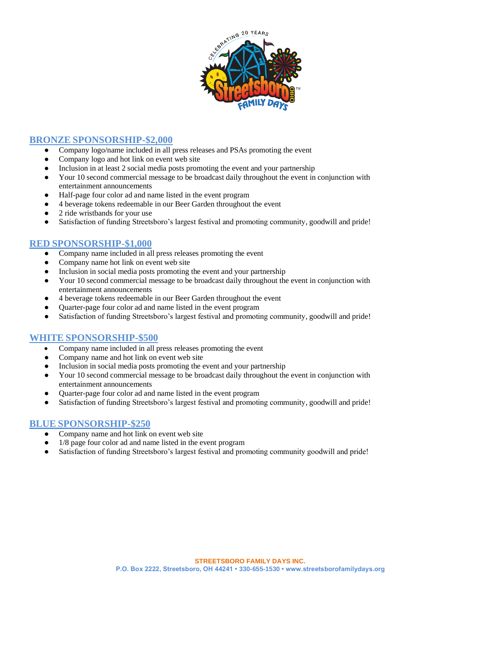

## **BRONZE SPONSORSHIP-\$2,000**

- Company logo/name included in all press releases and PSAs promoting the event
- Company logo and hot link on event web site
- Inclusion in at least 2 social media posts promoting the event and your partnership
- Your 10 second commercial message to be broadcast daily throughout the event in conjunction with entertainment announcements
- Half-page four color ad and name listed in the event program
- 4 beverage tokens redeemable in our Beer Garden throughout the event
- 2 ride wristbands for your use
- Satisfaction of funding Streetsboro's largest festival and promoting community, goodwill and pride!

## **RED SPONSORSHIP-\$1,000**

- Company name included in all press releases promoting the event
- Company name hot link on event web site
- Inclusion in social media posts promoting the event and your partnership
- Your 10 second commercial message to be broadcast daily throughout the event in conjunction with entertainment announcements
- 4 beverage tokens redeemable in our Beer Garden throughout the event
- Quarter-page four color ad and name listed in the event program
- Satisfaction of funding Streetsboro's largest festival and promoting community, goodwill and pride!

### **WHITE SPONSORSHIP-\$500**

- Company name included in all press releases promoting the event
- Company name and hot link on event web site
- Inclusion in social media posts promoting the event and your partnership
- Your 10 second commercial message to be broadcast daily throughout the event in conjunction with entertainment announcements
- Quarter-page four color ad and name listed in the event program
- Satisfaction of funding Streetsboro's largest festival and promoting community, goodwill and pride!

### **BLUE SPONSORSHIP-\$250**

- Company name and hot link on event web site
- $1/8$  page four color ad and name listed in the event program
- Satisfaction of funding Streetsboro's largest festival and promoting community goodwill and pride!